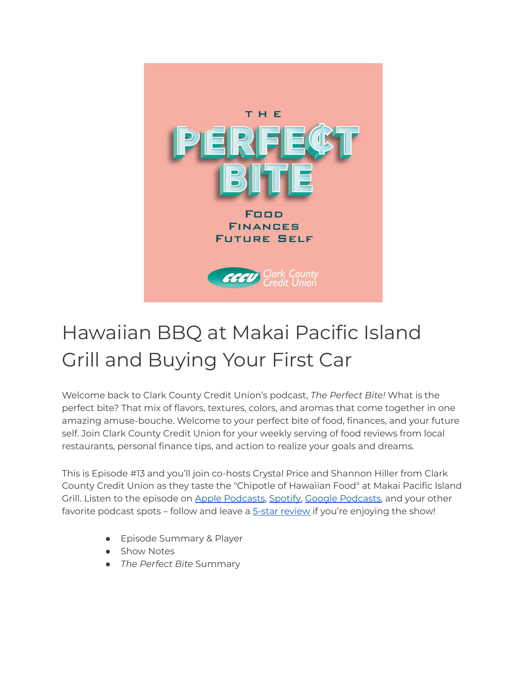

## Hawaiian BBQ at Makai Pacific Island Grill and Buying Your First Car

Welcome back to Clark County Credit Union's podcast, *The Perfect Bite!* What is the perfect bite? That mix of flavors, textures, colors, and aromas that come together in one amazing amuse-bouche. Welcome to your perfect bite of food, finances, and your future self. Join Clark County Credit Union for your weekly serving of food reviews from local restaurants, personal finance tips, and action to realize your goals and dreams.

This is Episode #13 and you'll join co-hosts Crystal Price and Shannon Hiller from Clark County Credit Union as they taste the "Chipotle of Hawaiian Food" at Makai Pacific Island Grill. Listen to the episode on Apple [Podcasts,](https://podcasts.google.com/feed/aHR0cHM6Ly9wZXJmZWN0Yml0ZS5saWJzeW4uY29tL3Jzcw?sa=X&ved=0CAMQ4aUDahcKEwi47ZHlgPP1AhUAAAAAHQAAAAAQRA) [Spotify,](https://open.spotify.com/show/7tNPJZBNHabGWEFmjnHaxR?si=a0a7808911264628) Google Podcasts, and your other favorite podcast spots - follow and leave a **5-star [review](https://podcasts.apple.com/us/podcast/the-perfect-bite/id1604656448)** if you're enjoying the show!

- Episode Summary & Player
- Show Notes
- *The Perfect Bite* Summary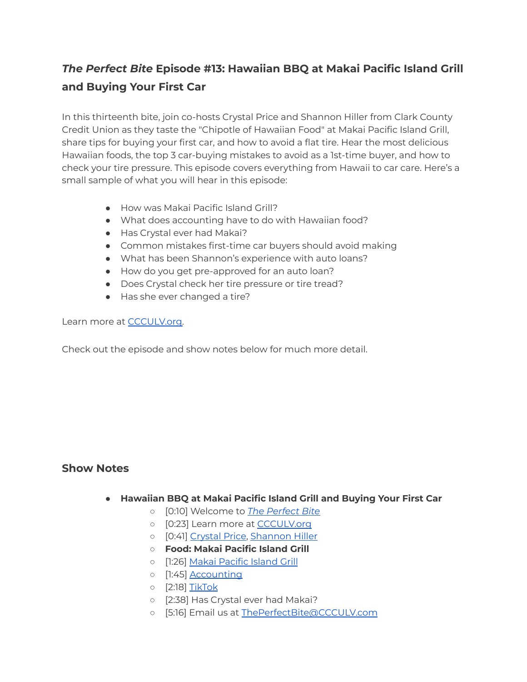## *The Perfect Bite* **Episode #13: Hawaiian BBQ at Makai Pacific Island Grill and Buying Your First Car**

In this thirteenth bite, join co-hosts Crystal Price and Shannon Hiller from Clark County Credit Union as they taste the "Chipotle of Hawaiian Food" at Makai Pacific Island Grill, share tips for buying your first car, and how to avoid a flat tire. Hear the most delicious Hawaiian foods, the top 3 car-buying mistakes to avoid as a 1st-time buyer, and how to check your tire pressure. This episode covers everything from Hawaii to car care. Here's a small sample of what you will hear in this episode:

- How was Makai Pacific Island Grill?
- What does accounting have to do with Hawaiian food?
- Has Crystal ever had Makai?
- Common mistakes first-time car buyers should avoid making
- What has been Shannon's experience with auto loans?
- How do you get pre-approved for an auto loan?
- Does Crystal check her tire pressure or tire tread?
- Has she ever changed a tire?

Learn more at [CCCULV.org.](https://www.ccculv.org/)

Check out the episode and show notes below for much more detail.

## **Show Notes**

- **Hawaiian BBQ at Makai Pacific Island Grill and Buying Your First Car**
	- [0:10] Welcome to *[The Perfect Bite](https://www.ccculv.org/)*
	- o [0:23] Learn more at [CCCULV.org](https://www.ccculv.org/)
	- [0:41] [Crystal Price](https://www.ccculv.org/Our-Mission.aspx), [Shannon Hiller](https://www.ccculv.org/Our-Mission.aspx)
	- **○ Food: Makai Pacific Island Grill**
	- o [1:26] [Makai Pacific Island Grill](http://www.makaigrill.com/)
	- [1:45] [Accounting](https://www.investopedia.com/terms/a/accounting.asp#:~:text=Accounting%20is%20the%20process%20of,regulators%2C%20and%20tax%20collection%20entities.)
	- [2:18] [TikTok](https://www.tiktok.com/discover/makai-pacific-island-grill-menu?lang=en)
	- [2:38] Has Crystal ever had Makai?
	- [5:16] Email us at [ThePerfectBite@CCCULV.com](mailto:ThePerfectBite@CCCULV.org)